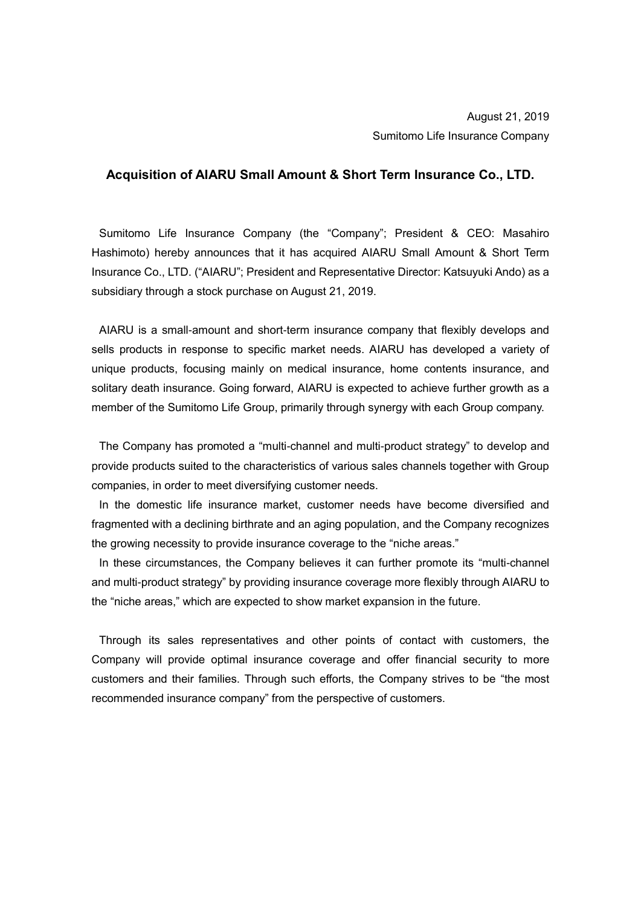## **Acquisition of AIARU Small Amount & Short Term Insurance Co., LTD.**

Sumitomo Life Insurance Company (the "Company"; President & CEO: Masahiro Hashimoto) hereby announces that it has acquired AIARU Small Amount & Short Term Insurance Co., LTD. ("AIARU"; President and Representative Director: Katsuyuki Ando) as a subsidiary through a stock purchase on August 21, 2019.

AIARU is a small-amount and short-term insurance company that flexibly develops and sells products in response to specific market needs. AIARU has developed a variety of unique products, focusing mainly on medical insurance, home contents insurance, and solitary death insurance. Going forward, AIARU is expected to achieve further growth as a member of the Sumitomo Life Group, primarily through synergy with each Group company.

The Company has promoted a "multi-channel and multi-product strategy" to develop and provide products suited to the characteristics of various sales channels together with Group companies, in order to meet diversifying customer needs.

In the domestic life insurance market, customer needs have become diversified and fragmented with a declining birthrate and an aging population, and the Company recognizes the growing necessity to provide insurance coverage to the "niche areas."

In these circumstances, the Company believes it can further promote its "multi-channel and multi-product strategy" by providing insurance coverage more flexibly through AIARU to the "niche areas," which are expected to show market expansion in the future.

Through its sales representatives and other points of contact with customers, the Company will provide optimal insurance coverage and offer financial security to more customers and their families. Through such efforts, the Company strives to be "the most recommended insurance company" from the perspective of customers.